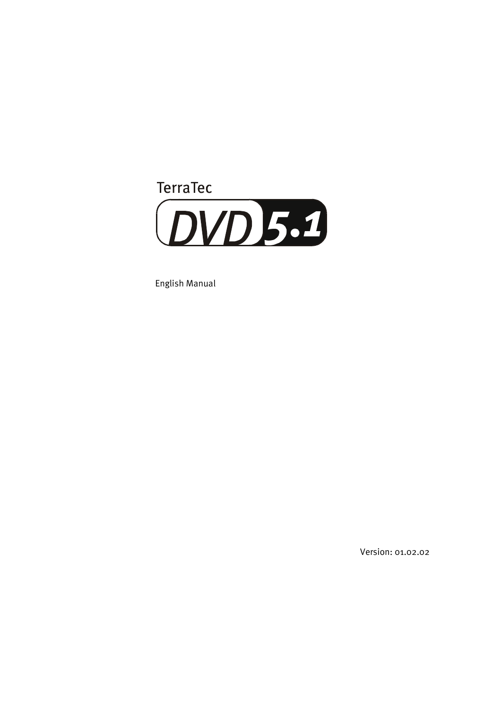

English Manual

Version: 01.02.02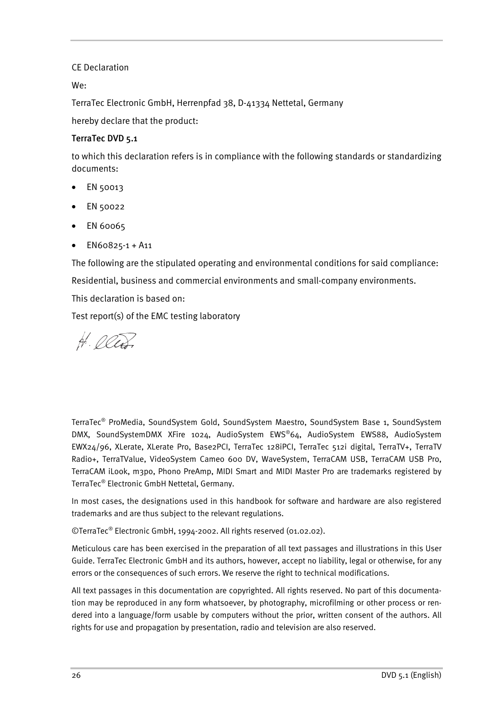#### CE Declaration

We:

TerraTec Electronic GmbH, Herrenpfad 38, D-41334 Nettetal, Germany

hereby declare that the product:

### **TerraTec DVD 5.1**

to which this declaration refers is in compliance with the following standards or standardizing documents:

- EN 50013
- EN 50022
- EN 60065
- EN60825-1 + A11

The following are the stipulated operating and environmental conditions for said compliance:

Residential, business and commercial environments and small-company environments.

This declaration is based on:

Test report(s) of the EMC testing laboratory

H. Oller

TerraTec® ProMedia, SoundSystem Gold, SoundSystem Maestro, SoundSystem Base 1, SoundSystem DMX, SoundSystemDMX XFire 1024, AudioSystem EWS®64, AudioSystem EWS88, AudioSystem EWX24/96, XLerate, XLerate Pro, Base2PCI, TerraTec 128iPCI, TerraTec 512i digital, TerraTV+, TerraTV Radio+, TerraTValue, VideoSystem Cameo 600 DV, WaveSystem, TerraCAM USB, TerraCAM USB Pro, TerraCAM iLook, m3po, Phono PreAmp, MIDI Smart and MIDI Master Pro are trademarks registered by TerraTec® Electronic GmbH Nettetal, Germany.

In most cases, the designations used in this handbook for software and hardware are also registered trademarks and are thus subject to the relevant regulations.

©TerraTec® Electronic GmbH, 1994-2002. All rights reserved (01.02.02).

Meticulous care has been exercised in the preparation of all text passages and illustrations in this User Guide. TerraTec Electronic GmbH and its authors, however, accept no liability, legal or otherwise, for any errors or the consequences of such errors. We reserve the right to technical modifications.

All text passages in this documentation are copyrighted. All rights reserved. No part of this documentation may be reproduced in any form whatsoever, by photography, microfilming or other process or rendered into a language/form usable by computers without the prior, written consent of the authors. All rights for use and propagation by presentation, radio and television are also reserved.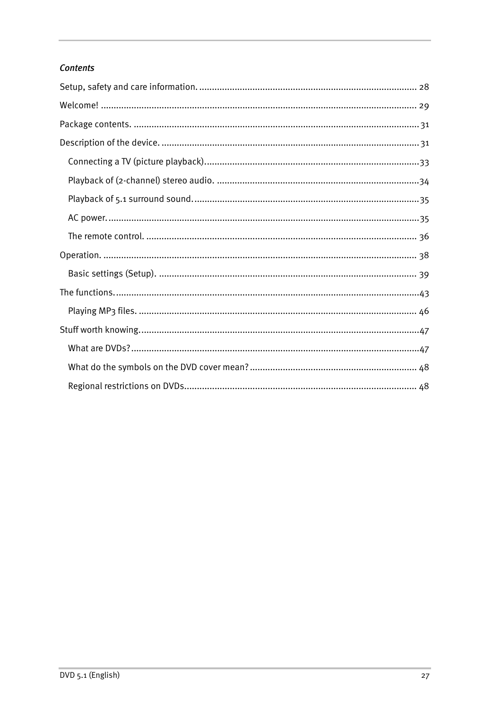## **Contents**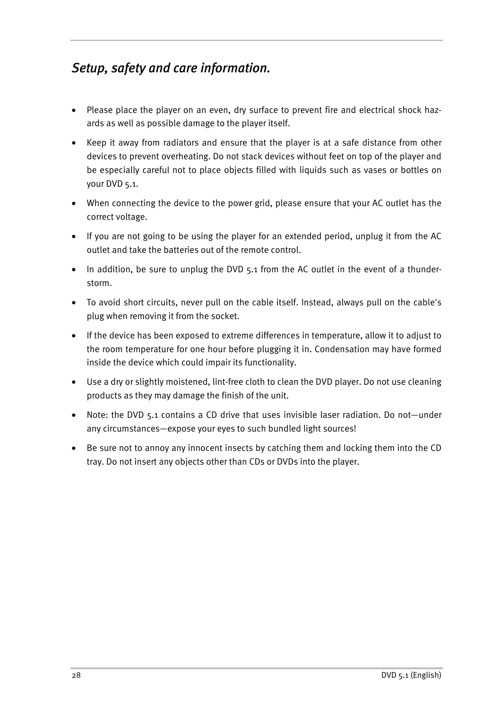# <span id="page-3-0"></span>*Setup, safety and care information.*

- Please place the player on an even, dry surface to prevent fire and electrical shock hazards as well as possible damage to the player itself.
- Keep it away from radiators and ensure that the player is at a safe distance from other devices to prevent overheating. Do not stack devices without feet on top of the player and be especially careful not to place objects filled with liquids such as vases or bottles on your DVD 5.1.
- When connecting the device to the power grid, please ensure that your AC outlet has the correct voltage.
- If you are not going to be using the player for an extended period, unplug it from the AC outlet and take the batteries out of the remote control.
- In addition, be sure to unplug the DVD 5.1 from the AC outlet in the event of a thunderstorm.
- To avoid short circuits, never pull on the cable itself. Instead, always pull on the cable's plug when removing it from the socket.
- If the device has been exposed to extreme differences in temperature, allow it to adjust to the room temperature for one hour before plugging it in. Condensation may have formed inside the device which could impair its functionality.
- Use a dry or slightly moistened, lint-free cloth to clean the DVD player. Do not use cleaning products as they may damage the finish of the unit.
- Note: the DVD 5.1 contains a CD drive that uses invisible laser radiation. Do not—under any circumstances—expose your eyes to such bundled light sources!
- Be sure not to annoy any innocent insects by catching them and locking them into the CD tray. Do not insert any objects other than CDs or DVDs into the player.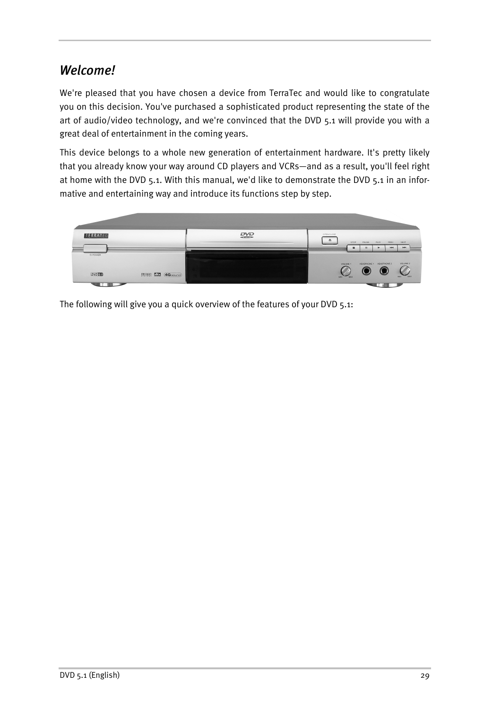# <span id="page-4-0"></span>*Welcome!*

We're pleased that you have chosen a device from TerraTec and would like to congratulate you on this decision. You've purchased a sophisticated product representing the state of the art of audio/video technology, and we're convinced that the DVD 5.1 will provide you with a great deal of entertainment in the coming years.

This device belongs to a whole new generation of entertainment hardware. It's pretty likely that you already know your way around CD players and VCRs—and as a result, you'll feel right at home with the DVD 5.1. With this manual, we'd like to demonstrate the DVD 5.1 in an informative and entertaining way and introduce its functions step by step.



The following will give you a quick overview of the features of your DVD 5.1: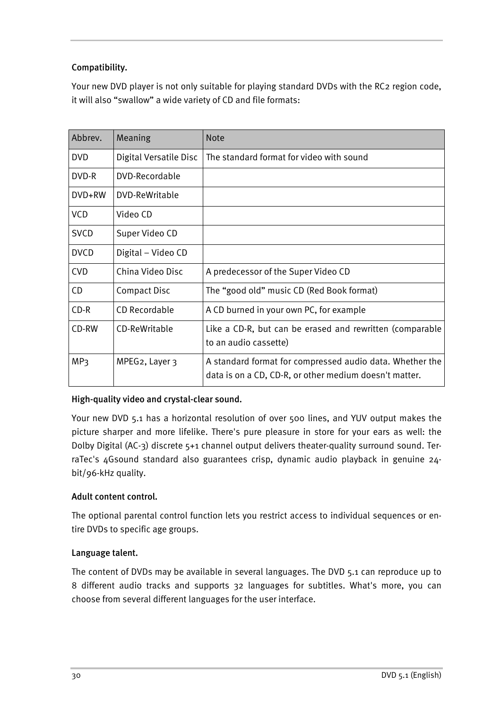## <span id="page-5-0"></span>**Compatibility.**

Your new DVD player is not only suitable for playing standard DVDs with the RC2 region code, it will also "swallow" a wide variety of CD and file formats:

| Abbrev.         | Meaning                | <b>Note</b>                                                                                                        |
|-----------------|------------------------|--------------------------------------------------------------------------------------------------------------------|
| <b>DVD</b>      | Digital Versatile Disc | The standard format for video with sound                                                                           |
| DVD-R           | DVD-Recordable         |                                                                                                                    |
| DVD+RW          | DVD-ReWritable         |                                                                                                                    |
| <b>VCD</b>      | Video CD               |                                                                                                                    |
| <b>SVCD</b>     | Super Video CD         |                                                                                                                    |
| <b>DVCD</b>     | Digital – Video CD     |                                                                                                                    |
| <b>CVD</b>      | China Video Disc       | A predecessor of the Super Video CD                                                                                |
| CD              | <b>Compact Disc</b>    | The "good old" music CD (Red Book format)                                                                          |
| $CD-R$          | CD Recordable          | A CD burned in your own PC, for example                                                                            |
| CD-RW           | CD-ReWritable          | Like a CD-R, but can be erased and rewritten (comparable<br>to an audio cassette)                                  |
| MP <sub>3</sub> | MPEG2, Layer 3         | A standard format for compressed audio data. Whether the<br>data is on a CD, CD-R, or other medium doesn't matter. |

## **High-quality video and crystal-clear sound.**

Your new DVD 5.1 has a horizontal resolution of over 500 lines, and YUV output makes the picture sharper and more lifelike. There's pure pleasure in store for your ears as well: the Dolby Digital (AC-3) discrete 5+1 channel output delivers theater-quality surround sound. TerraTec's 4Gsound standard also guarantees crisp, dynamic audio playback in genuine 24 bit/96-kHz quality.

## **Adult content control.**

The optional parental control function lets you restrict access to individual sequences or entire DVDs to specific age groups.

### **Language talent.**

The content of DVDs may be available in several languages. The DVD 5.1 can reproduce up to 8 different audio tracks and supports 32 languages for subtitles. What's more, you can choose from several different languages for the user interface.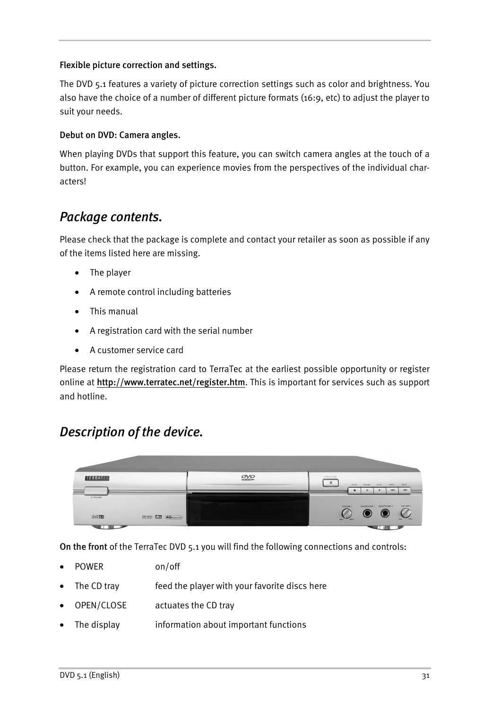### <span id="page-6-0"></span>**Flexible picture correction and settings.**

The DVD 5.1 features a variety of picture correction settings such as color and brightness. You also have the choice of a number of different picture formats (16:9, etc) to adjust the player to suit your needs.

#### **Debut on DVD: Camera angles.**

When playing DVDs that support this feature, you can switch camera angles at the touch of a button. For example, you can experience movies from the perspectives of the individual characters!

# *Package contents.*

Please check that the package is complete and contact your retailer as soon as possible if any of the items listed here are missing.

- The player
- A remote control including batteries
- This manual
- A registration card with the serial number
- A customer service card

Please return the registration card to TerraTec at the earliest possible opportunity or register online at **<http://www.terratec.net/register.htm>**. This is important for services such as support and hotline.

# *Description of the device.*



**On the front** of the TerraTec DVD 5.1 you will find the following connections and controls:

- POWER on/off
- The CD tray feed the player with your favorite discs here
- OPEN/CLOSE actuates the CD tray
- The display information about important functions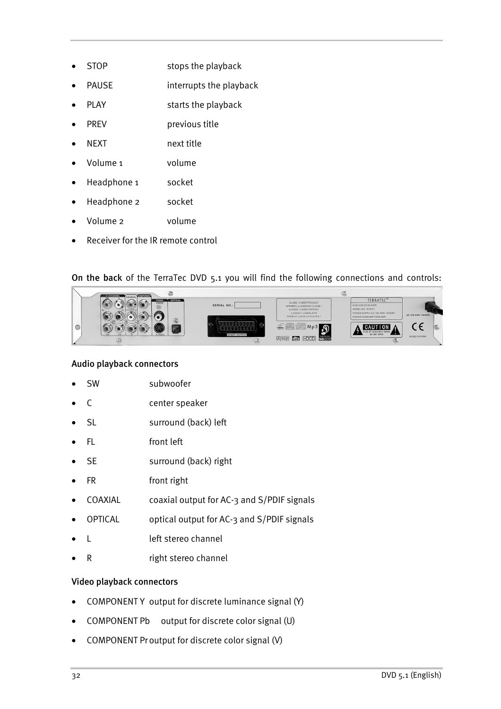- STOP stops the playback
- PAUSE interrupts the playback
- PLAY starts the playback
- PREV previous title
- NEXT next title
- Volume 1 volume
- Headphone 1 socket
- Headphone 2 socket
- Volume 2 volume
- Receiver for the IR remote control

#### **On the back** of the TerraTec DVD 5.1 you will find the following connections and controls:



#### **Audio playback connectors**

- SW subwoofer
- C center speaker
- SL surround (back) left
- FL front left
- SE surround (back) right
- FR front right
- COAXIAL coaxial output for AC-3 and S/PDIF signals
- OPTICAL optical output for AC-3 and S/PDIF signals
- L left stereo channel
- R right stereo channel

#### **Video playback connectors**

- COMPONENTY output for discrete luminance signal (Y)
- COMPONENT Pb output for discrete color signal (U)
- COMPONENT Proutput for discrete color signal (V)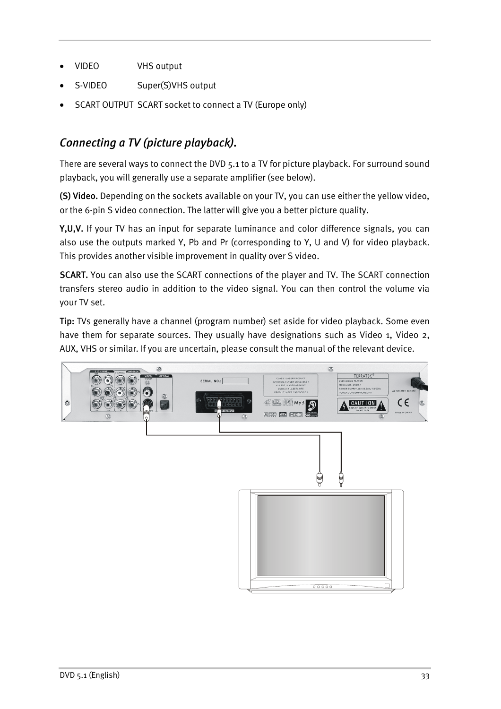- <span id="page-8-0"></span>VIDEO VHS output
- S-VIDEO Super(S)VHS output
- SCART OUTPUT SCART socket to connect a TV (Europe only)

# *Connecting a TV (picture playback).*

There are several ways to connect the DVD 5.1 to a TV for picture playback. For surround sound playback, you will generally use a separate amplifier (see below).

**(S) Video.** Depending on the sockets available on your TV, you can use either the yellow video, or the 6-pin S video connection. The latter will give you a better picture quality.

**Y,U,V.** If your TV has an input for separate luminance and color difference signals, you can also use the outputs marked Y, Pb and Pr (corresponding to Y, U and V) for video playback. This provides another visible improvement in quality over S video.

**SCART.** You can also use the SCART connections of the player and TV. The SCART connection transfers stereo audio in addition to the video signal. You can then control the volume via your TV set.

**Tip:** TVs generally have a channel (program number) set aside for video playback. Some even have them for separate sources. They usually have designations such as Video 1, Video 2, AUX, VHS or similar. If you are uncertain, please consult the manual of the relevant device.

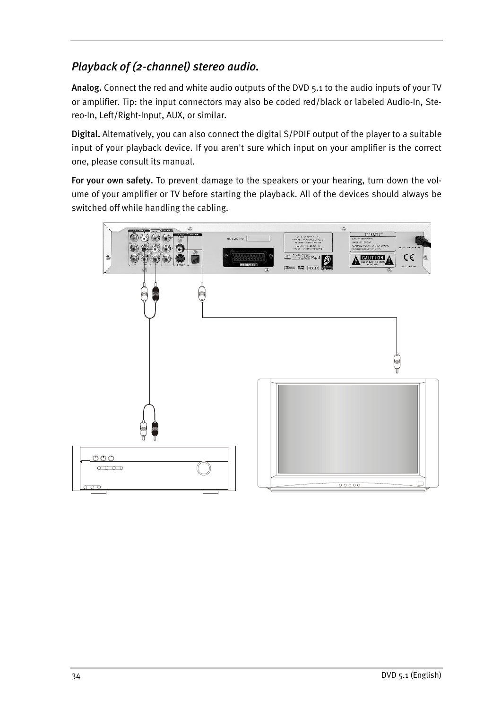# <span id="page-9-0"></span>*Playback of (2-channel) stereo audio.*

**Analog.** Connect the red and white audio outputs of the DVD 5.1 to the audio inputs of your TV or amplifier. Tip: the input connectors may also be coded red/black or labeled Audio-In, Stereo-In, Left/Right-Input, AUX, or similar.

**Digital.** Alternatively, you can also connect the digital S/PDIF output of the player to a suitable input of your playback device. If you aren't sure which input on your amplifier is the correct one, please consult its manual.

**For your own safety.** To prevent damage to the speakers or your hearing, turn down the volume of your amplifier or TV before starting the playback. All of the devices should always be switched off while handling the cabling.

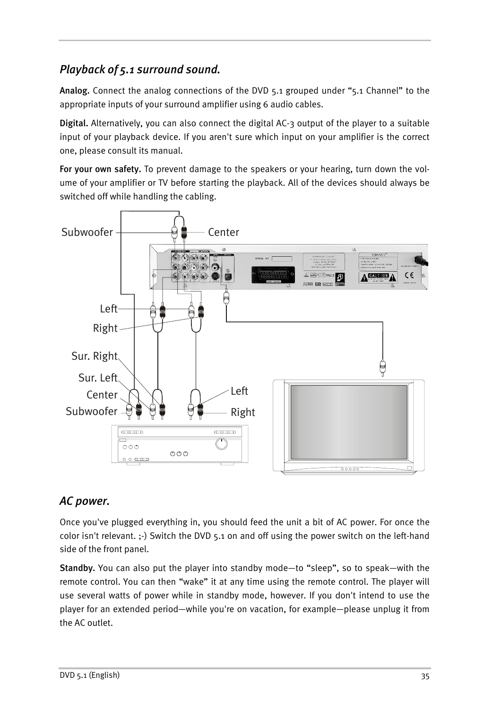# <span id="page-10-0"></span>*Playback of 5.1 surround sound.*

**Analog.** Connect the analog connections of the DVD 5.1 grouped under "5.1 Channel" to the appropriate inputs of your surround amplifier using 6 audio cables.

**Digital.** Alternatively, you can also connect the digital AC-3 output of the player to a suitable input of your playback device. If you aren't sure which input on your amplifier is the correct one, please consult its manual.

**For your own safety.** To prevent damage to the speakers or your hearing, turn down the volume of your amplifier or TV before starting the playback. All of the devices should always be switched off while handling the cabling.



# *AC power.*

Once you've plugged everything in, you should feed the unit a bit of AC power. For once the color isn't relevant. ;-) Switch the DVD 5.1 on and off using the power switch on the left-hand side of the front panel.

**Standby.** You can also put the player into standby mode—to "sleep", so to speak—with the remote control. You can then "wake" it at any time using the remote control. The player will use several watts of power while in standby mode, however. If you don't intend to use the player for an extended period—while you're on vacation, for example—please unplug it from the AC outlet.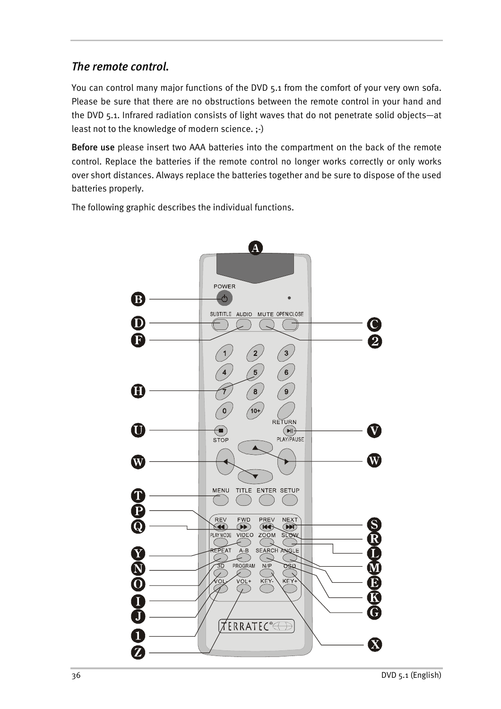## <span id="page-11-0"></span>*The remote control.*

You can control many major functions of the DVD 5.1 from the comfort of your very own sofa. Please be sure that there are no obstructions between the remote control in your hand and the DVD 5.1. Infrared radiation consists of light waves that do not penetrate solid objects—at least not to the knowledge of modern science. ;-)

**Before use** please insert two AAA batteries into the compartment on the back of the remote control. Replace the batteries if the remote control no longer works correctly or only works over short distances. Always replace the batteries together and be sure to dispose of the used batteries properly.

The following graphic describes the individual functions.

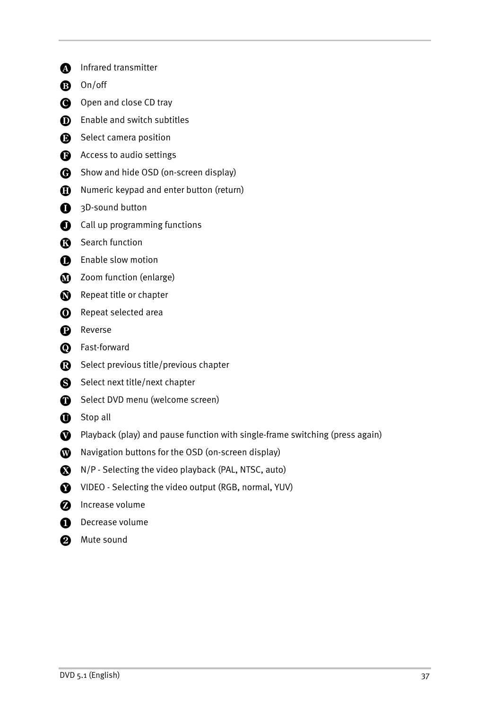**A** Infrared transmitter **B** On/off Open and close CD tray **D** Enable and switch subtitles Select camera position **B** Access to audio settings **C** Show and hide OSD (on-screen display) **n** Numeric keypad and enter button (return) <sup>3D-sound</sup> button **Q** Call up programming functions **R** Search function **B** Enable slow motion **1** Zoom function (enlarge) Repeat title or chapter **O** Repeat selected area **P** Reverse **O** Fast-forward Select previous title/previous chapter Select next title/next chapter Select DVD menu (welcome screen) **OD** Stop all Playback (play) and pause function with single-frame switching (press again) **W** Navigation buttons for the OSD (on-screen display) N/P - Selecting the video playback (PAL, NTSC, auto) VIDEO - Selecting the video output (RGB, normal, YUV) **2** Increase volume **Decrease volume 2** Mute sound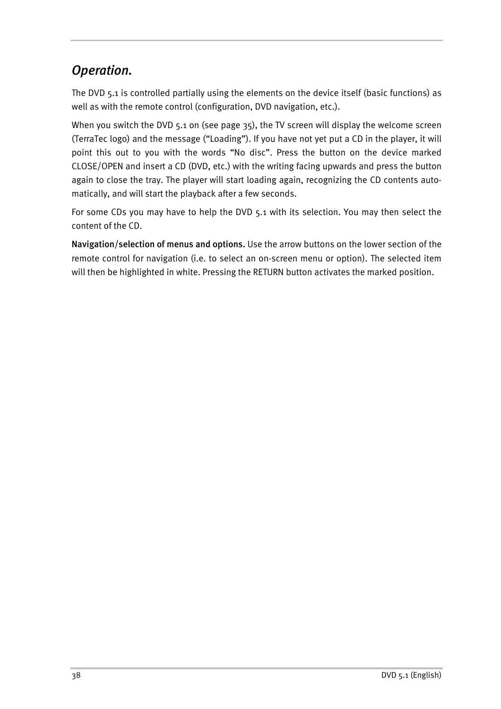# <span id="page-13-0"></span>*Operation.*

The DVD 5.1 is controlled partially using the elements on the device itself (basic functions) as well as with the remote control (configuration, DVD navigation, etc.).

When you switch the DVD 5.1 on (see page [35\)](#page-10-0), the TV screen will display the welcome screen (TerraTec logo) and the message ("Loading"). If you have not yet put a CD in the player, it will point this out to you with the words "No disc". Press the button on the device marked CLOSE/OPEN and insert a CD (DVD, etc.) with the writing facing upwards and press the button again to close the tray. The player will start loading again, recognizing the CD contents automatically, and will start the playback after a few seconds.

For some CDs you may have to help the DVD 5.1 with its selection. You may then select the content of the CD.

**Navigation/selection of menus and options.** Use the arrow buttons on the lower section of the remote control for navigation (i.e. to select an on-screen menu or option). The selected item will then be highlighted in white. Pressing the RETURN button activates the marked position.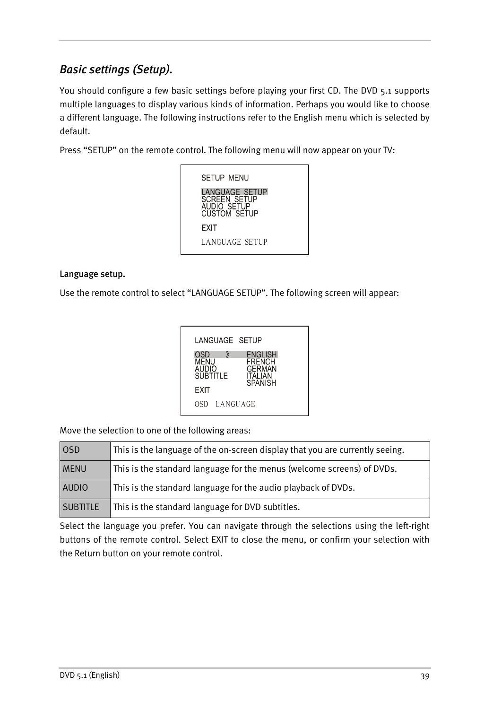# <span id="page-14-0"></span>*Basic settings (Setup).*

You should configure a few basic settings before playing your first CD. The DVD 5.1 supports multiple languages to display various kinds of information. Perhaps you would like to choose a different language. The following instructions refer to the English menu which is selected by default.

Press "SETUP" on the remote control. The following menu will now appear on your TV:



#### **Language setup.**

Use the remote control to select "LANGUAGE SETUP". The following screen will appear:

| LANGUAGE SETUP                          |                                                                                      |
|-----------------------------------------|--------------------------------------------------------------------------------------|
| OSD<br>MENU<br><b>AUDIO</b><br>SUBTITLE | <b>ENGLISH</b><br><b>FRENCH</b><br><b>GERMAN</b><br><b>ITALIAN</b><br><b>SPANISH</b> |
| EXIT                                    |                                                                                      |
| OSD LANGUAGE                            |                                                                                      |

Move the selection to one of the following areas:

| <b>OSD</b>      | This is the language of the on-screen display that you are currently seeing. |
|-----------------|------------------------------------------------------------------------------|
| <b>MENU</b>     | This is the standard language for the menus (welcome screens) of DVDs.       |
| <b>AUDIO</b>    | This is the standard language for the audio playback of DVDs.                |
| <b>SUBTITLE</b> | This is the standard language for DVD subtitles.                             |

Select the language you prefer. You can navigate through the selections using the left-right buttons of the remote control. Select EXIT to close the menu, or confirm your selection with the Return button on your remote control.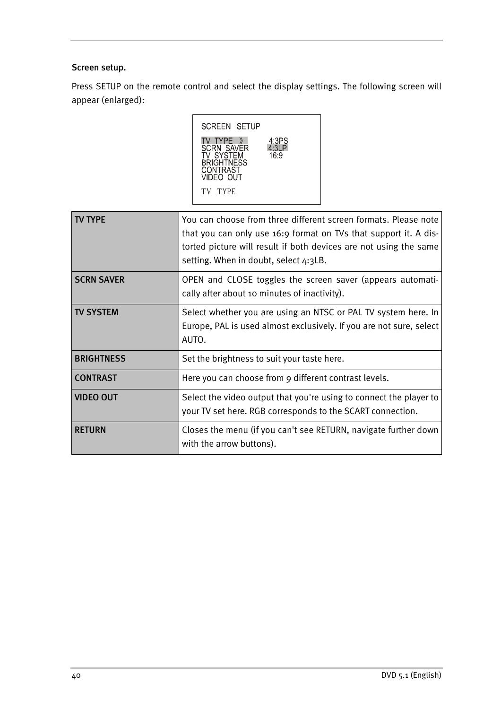### <span id="page-15-0"></span>**Screen setup.**

Press SETUP on the remote control and select the display settings. The following screen will appear (enlarged):



| ' TYPF            | You can choose from three different screen formats. Please note<br>that you can only use 16:9 format on TVs that support it. A dis-<br>torted picture will result if both devices are not using the same<br>setting. When in doubt, select 4:3LB. |
|-------------------|---------------------------------------------------------------------------------------------------------------------------------------------------------------------------------------------------------------------------------------------------|
| <b>SCRN SAVER</b> | OPEN and CLOSE toggles the screen saver (appears automati-<br>cally after about 10 minutes of inactivity).                                                                                                                                        |
| <b>TV SYSTEM</b>  | Select whether you are using an NTSC or PAL TV system here. In<br>Europe, PAL is used almost exclusively. If you are not sure, select<br>AUTO.                                                                                                    |
| <b>BRIGHTNESS</b> | Set the brightness to suit your taste here.                                                                                                                                                                                                       |
| <b>CONTRAST</b>   | Here you can choose from 9 different contrast levels.                                                                                                                                                                                             |
| <b>VIDEO OUT</b>  | Select the video output that you're using to connect the player to<br>your TV set here. RGB corresponds to the SCART connection.                                                                                                                  |
| <b>RETURN</b>     | Closes the menu (if you can't see RETURN, navigate further down<br>with the arrow buttons).                                                                                                                                                       |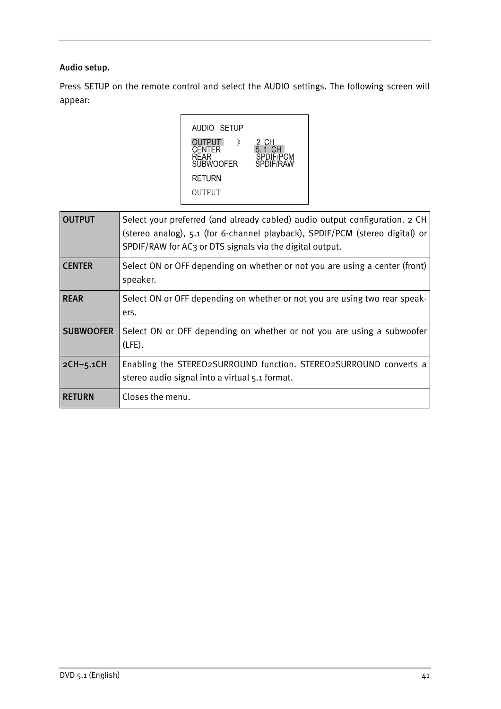### **Audio setup.**

Press SETUP on the remote control and select the AUDIO settings. The following screen will appear:

AUDIO SETUP Output »<br>Center<br>Rear<br>Subwoofer 2 CH<br>5.1 CH<br>SPDIF/PCM<br>SPDIF/RAW  $\quad$   $\rangle\!\!\!\rangle$ **RETURN** OUTPUT

| <b>OUTPUT</b>    | Select your preferred (and already cabled) audio output configuration. 2 CH<br>(stereo analog), 5.1 (for 6-channel playback), SPDIF/PCM (stereo digital) or<br>SPDIF/RAW for AC3 or DTS signals via the digital output. |
|------------------|-------------------------------------------------------------------------------------------------------------------------------------------------------------------------------------------------------------------------|
| <b>CENTER</b>    | Select ON or OFF depending on whether or not you are using a center (front)<br>speaker.                                                                                                                                 |
| <b>REAR</b>      | Select ON or OFF depending on whether or not you are using two rear speak-<br>ers.                                                                                                                                      |
| <b>SUBWOOFER</b> | Select ON or OFF depending on whether or not you are using a subwoofer<br>$(LFE)$ .                                                                                                                                     |
| $2CH-5.1CH$      | Enabling the STEREO2SURROUND function. STEREO2SURROUND converts a<br>stereo audio signal into a virtual 5.1 format.                                                                                                     |
| <b>RETURN</b>    | Closes the menu.                                                                                                                                                                                                        |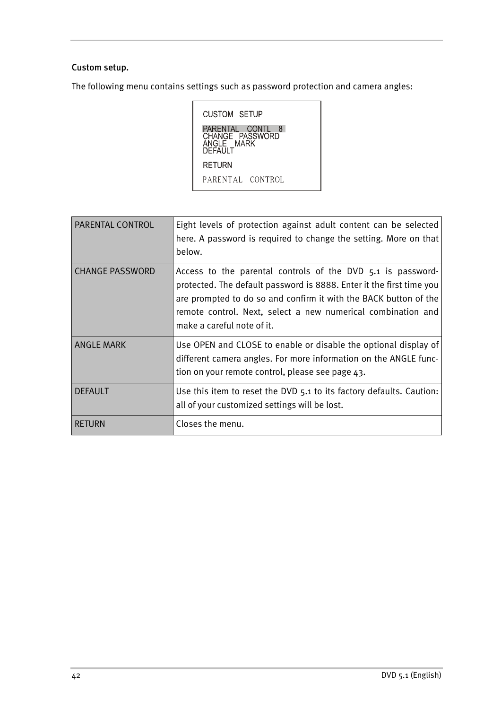### <span id="page-17-0"></span>**Custom setup.**

The following menu contains settings such as password protection and camera angles:

CUSTOM SETUP PARENTAL CONTL 8<br>CHANGE PASSWORD<br>ANGLE MARK<br>DEFAULT **RETURN** PARENTAL CONTROL

| PARENTAL CONTROL       | Eight levels of protection against adult content can be selected<br>here. A password is required to change the setting. More on that<br>below.                                                                                                                                                        |
|------------------------|-------------------------------------------------------------------------------------------------------------------------------------------------------------------------------------------------------------------------------------------------------------------------------------------------------|
| <b>CHANGE PASSWORD</b> | Access to the parental controls of the DVD 5.1 is password-<br>protected. The default password is 8888. Enter it the first time you<br>are prompted to do so and confirm it with the BACK button of the<br>remote control. Next, select a new numerical combination and<br>make a careful note of it. |
| <b>ANGLE MARK</b>      | Use OPEN and CLOSE to enable or disable the optional display of<br>different camera angles. For more information on the ANGLE func-<br>tion on your remote control, please see page 43.                                                                                                               |
| <b>DEFAULT</b>         | Use this item to reset the DVD 5.1 to its factory defaults. Caution:<br>all of your customized settings will be lost.                                                                                                                                                                                 |
| RETURN                 | Closes the menu.                                                                                                                                                                                                                                                                                      |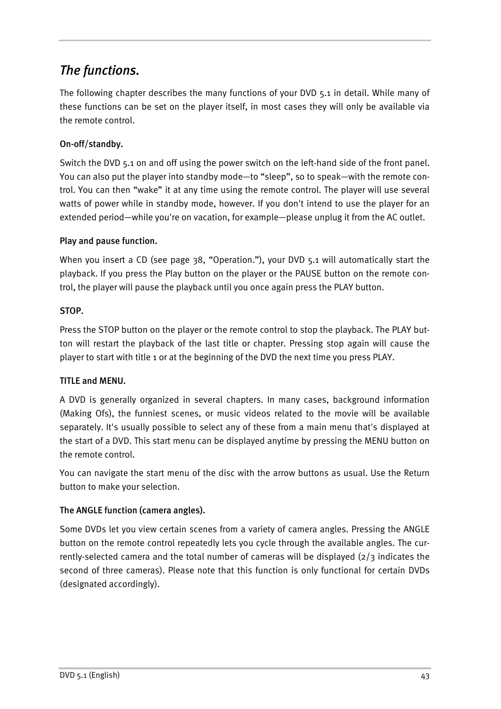# <span id="page-18-0"></span>*The functions.*

The following chapter describes the many functions of your DVD 5.1 in detail. While many of these functions can be set on the player itself, in most cases they will only be available via the remote control.

## **On-off/standby.**

Switch the DVD 5.1 on and off using the power switch on the left-hand side of the front panel. You can also put the player into standby mode—to "sleep", so to speak—with the remote control. You can then "wake" it at any time using the remote control. The player will use several watts of power while in standby mode, however. If you don't intend to use the player for an extended period—while you're on vacation, for example—please unplug it from the AC outlet.

## **Play and pause function.**

When you insert a CD (see page [38](#page-13-0), ["Operation."](#page-13-0)), your DVD 5.1 will automatically start the playback. If you press the Play button on the player or the PAUSE button on the remote control, the player will pause the playback until you once again press the PLAY button.

### **STOP.**

Press the STOP button on the player or the remote control to stop the playback. The PLAY button will restart the playback of the last title or chapter. Pressing stop again will cause the player to start with title 1 or at the beginning of the DVD the next time you press PLAY.

## **TITLE and MENU.**

A DVD is generally organized in several chapters. In many cases, background information (Making Ofs), the funniest scenes, or music videos related to the movie will be available separately. It's usually possible to select any of these from a main menu that's displayed at the start of a DVD. This start menu can be displayed anytime by pressing the MENU button on the remote control.

You can navigate the start menu of the disc with the arrow buttons as usual. Use the Return button to make your selection.

## **The ANGLE function (camera angles).**

Some DVDs let you view certain scenes from a variety of camera angles. Pressing the ANGLE button on the remote control repeatedly lets you cycle through the available angles. The currently-selected camera and the total number of cameras will be displayed (2/3 indicates the second of three cameras). Please note that this function is only functional for certain DVDs (designated accordingly).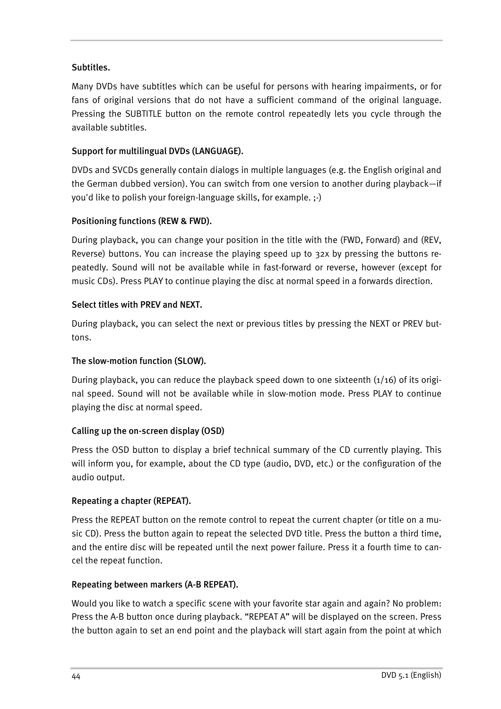### <span id="page-19-0"></span>**Subtitles.**

Many DVDs have subtitles which can be useful for persons with hearing impairments, or for fans of original versions that do not have a sufficient command of the original language. Pressing the SUBTITLE button on the remote control repeatedly lets you cycle through the available subtitles.

### **Support for multilingual DVDs (LANGUAGE).**

DVDs and SVCDs generally contain dialogs in multiple languages (e.g. the English original and the German dubbed version). You can switch from one version to another during playback—if you'd like to polish your foreign-language skills, for example. ;-)

### **Positioning functions (REW & FWD).**

During playback, you can change your position in the title with the (FWD, Forward) and (REV, Reverse) buttons. You can increase the playing speed up to 32x by pressing the buttons repeatedly. Sound will not be available while in fast-forward or reverse, however (except for music CDs). Press PLAY to continue playing the disc at normal speed in a forwards direction.

### **Select titles with PREV and NEXT.**

During playback, you can select the next or previous titles by pressing the NEXT or PREV buttons.

### **The slow-motion function (SLOW).**

During playback, you can reduce the playback speed down to one sixteenth  $(1/16)$  of its original speed. Sound will not be available while in slow-motion mode. Press PLAY to continue playing the disc at normal speed.

### **Calling up the on-screen display (OSD)**

Press the OSD button to display a brief technical summary of the CD currently playing. This will inform you, for example, about the CD type (audio, DVD, etc.) or the configuration of the audio output.

### **Repeating a chapter (REPEAT).**

Press the REPEAT button on the remote control to repeat the current chapter (or title on a music CD). Press the button again to repeat the selected DVD title. Press the button a third time, and the entire disc will be repeated until the next power failure. Press it a fourth time to cancel the repeat function.

### **Repeating between markers (A-B REPEAT).**

Would you like to watch a specific scene with your favorite star again and again? No problem: Press the A-B button once during playback. "REPEAT A" will be displayed on the screen. Press the button again to set an end point and the playback will start again from the point at which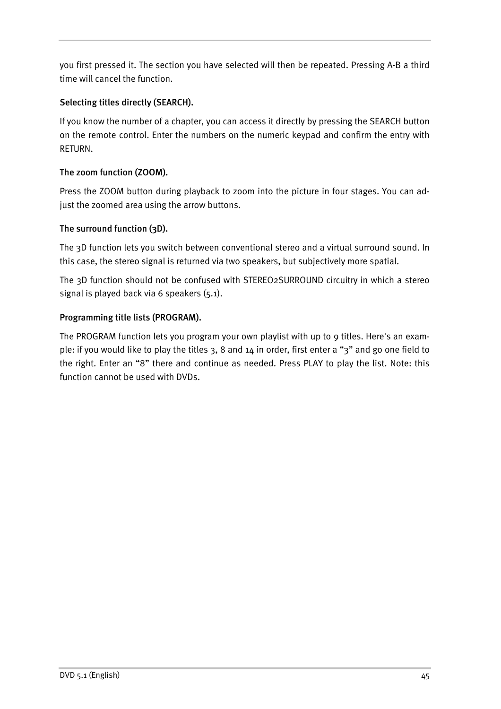you first pressed it. The section you have selected will then be repeated. Pressing A-B a third time will cancel the function.

## **Selecting titles directly (SEARCH).**

If you know the number of a chapter, you can access it directly by pressing the SEARCH button on the remote control. Enter the numbers on the numeric keypad and confirm the entry with RETURN.

## **The zoom function (ZOOM).**

Press the ZOOM button during playback to zoom into the picture in four stages. You can adjust the zoomed area using the arrow buttons.

## **The surround function (3D).**

The 3D function lets you switch between conventional stereo and a virtual surround sound. In this case, the stereo signal is returned via two speakers, but subjectively more spatial.

The 3D function should not be confused with STEREO2SURROUND circuitry in which a stereo signal is played back via 6 speakers (5.1).

## **Programming title lists (PROGRAM).**

The PROGRAM function lets you program your own playlist with up to 9 titles. Here's an example: if you would like to play the titles 3, 8 and 14 in order, first enter a "3" and go one field to the right. Enter an "8" there and continue as needed. Press PLAY to play the list. Note: this function cannot be used with DVDs.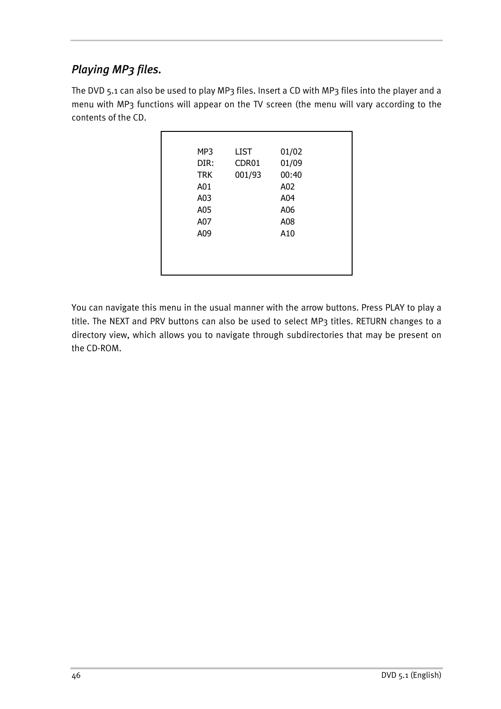# <span id="page-21-0"></span>*Playing MP3 files.*

The DVD 5.1 can also be used to play MP3 files. Insert a CD with MP3 files into the player and a menu with MP3 functions will appear on the TV screen (the menu will vary according to the contents of the CD.

| MP3        | <b>LIST</b> | 01/02 |  |
|------------|-------------|-------|--|
| DIR:       | CDR01       | 01/09 |  |
| <b>TRK</b> | 001/93      | 00:40 |  |
| A01        |             | A02   |  |
| A03        |             | A04   |  |
| A05        |             | A06   |  |
| A07        |             | A08   |  |
| A09        |             | A10   |  |
|            |             |       |  |
|            |             |       |  |
|            |             |       |  |

You can navigate this menu in the usual manner with the arrow buttons. Press PLAY to play a title. The NEXT and PRV buttons can also be used to select MP3 titles. RETURN changes to a directory view, which allows you to navigate through subdirectories that may be present on the CD-ROM.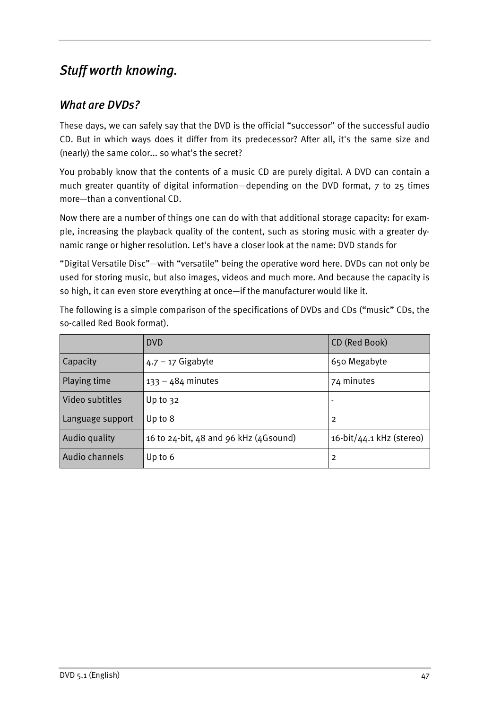# <span id="page-22-0"></span>*Stuff worth knowing.*

# *What are DVDs?*

These days, we can safely say that the DVD is the official "successor" of the successful audio CD. But in which ways does it differ from its predecessor? After all, it's the same size and (nearly) the same color... so what's the secret?

You probably know that the contents of a music CD are purely digital. A DVD can contain a much greater quantity of digital information—depending on the DVD format, 7 to 25 times more—than a conventional CD.

Now there are a number of things one can do with that additional storage capacity: for example, increasing the playback quality of the content, such as storing music with a greater dynamic range or higher resolution. Let's have a closer look at the name: DVD stands for

"Digital Versatile Disc"—with "versatile" being the operative word here. DVDs can not only be used for storing music, but also images, videos and much more. And because the capacity is so high, it can even store everything at once—if the manufacturer would like it.

The following is a simple comparison of the specifications of DVDs and CDs ("music" CDs, the so-called Red Book format).

|                  | <b>DVD</b>                            | CD (Red Book)               |
|------------------|---------------------------------------|-----------------------------|
| Capacity         | $4.7 - 17$ Gigabyte                   | 650 Megabyte                |
| Playing time     | $133 - 484$ minutes                   | 74 minutes                  |
| Video subtitles  | Up to $32$                            |                             |
| Language support | Up to 8                               | 2                           |
| Audio quality    | 16 to 24-bit, 48 and 96 kHz (4Gsound) | $16$ -bit/44.1 kHz (stereo) |
| Audio channels   | Up to $6$                             | 2                           |